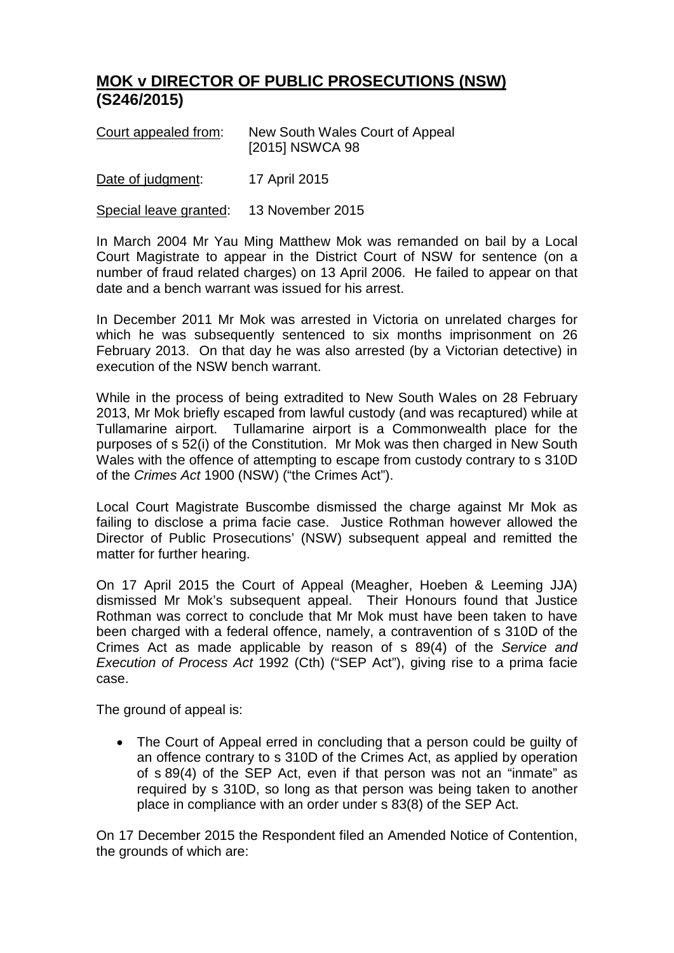## **MOK v DIRECTOR OF PUBLIC PROSECUTIONS (NSW) (S246/2015)**

| Court appealed from: | New South Wales Court of Appeal |
|----------------------|---------------------------------|
|                      | [2015] NSWCA 98                 |
|                      |                                 |

Date of judgment: 17 April 2015

Special leave granted: 13 November 2015

In March 2004 Mr Yau Ming Matthew Mok was remanded on bail by a Local Court Magistrate to appear in the District Court of NSW for sentence (on a number of fraud related charges) on 13 April 2006. He failed to appear on that date and a bench warrant was issued for his arrest.

In December 2011 Mr Mok was arrested in Victoria on unrelated charges for which he was subsequently sentenced to six months imprisonment on 26 February 2013. On that day he was also arrested (by a Victorian detective) in execution of the NSW bench warrant.

While in the process of being extradited to New South Wales on 28 February 2013, Mr Mok briefly escaped from lawful custody (and was recaptured) while at Tullamarine airport. Tullamarine airport is a Commonwealth place for the purposes of s 52(i) of the Constitution. Mr Mok was then charged in New South Wales with the offence of attempting to escape from custody contrary to s 310D of the *Crimes Act* 1900 (NSW) ("the Crimes Act").

Local Court Magistrate Buscombe dismissed the charge against Mr Mok as failing to disclose a prima facie case. Justice Rothman however allowed the Director of Public Prosecutions' (NSW) subsequent appeal and remitted the matter for further hearing.

On 17 April 2015 the Court of Appeal (Meagher, Hoeben & Leeming JJA) dismissed Mr Mok's subsequent appeal. Their Honours found that Justice Rothman was correct to conclude that Mr Mok must have been taken to have been charged with a federal offence, namely, a contravention of s 310D of the Crimes Act as made applicable by reason of s 89(4) of the *Service and Execution of Process Act* 1992 (Cth) ("SEP Act"), giving rise to a prima facie case.

The ground of appeal is:

• The Court of Appeal erred in concluding that a person could be guilty of an offence contrary to s 310D of the Crimes Act, as applied by operation of s 89(4) of the SEP Act, even if that person was not an "inmate" as required by s 310D, so long as that person was being taken to another place in compliance with an order under s 83(8) of the SEP Act.

On 17 December 2015 the Respondent filed an Amended Notice of Contention, the grounds of which are: